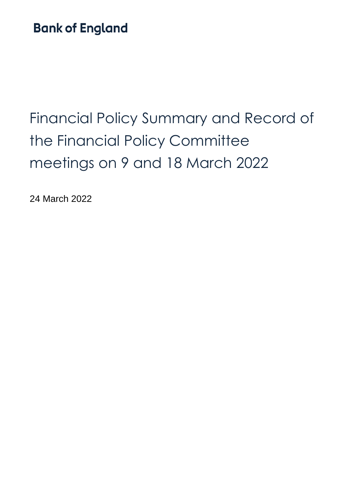# **Bank of England**

# Financial Policy Summary and Record of the Financial Policy Committee meetings on 9 and 18 March 2022

24 March 2022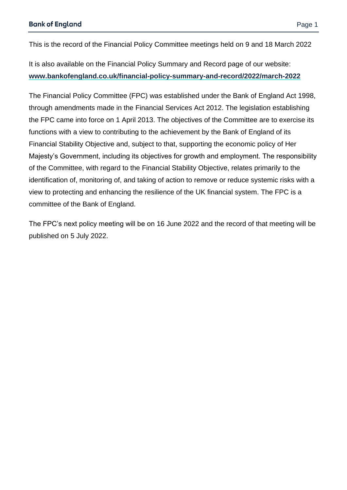This is the record of the Financial Policy Committee meetings held on 9 and 18 March 2022

It is also available on the Financial Policy Summary and Record page of our website: **[www.bankofengland.co.uk/financial-policy-summary-and-record/2022/march-2022](http://www.bankofengland.co.uk/financial-policy-summary-and-record/2022/march-2022)**

The Financial Policy Committee (FPC) was established under the Bank of England Act 1998, through amendments made in the Financial Services Act 2012. The legislation establishing the FPC came into force on 1 April 2013. The objectives of the Committee are to exercise its functions with a view to contributing to the achievement by the Bank of England of its Financial Stability Objective and, subject to that, supporting the economic policy of Her Majesty's Government, including its objectives for growth and employment. The responsibility of the Committee, with regard to the Financial Stability Objective, relates primarily to the identification of, monitoring of, and taking of action to remove or reduce systemic risks with a view to protecting and enhancing the resilience of the UK financial system. The FPC is a committee of the Bank of England.

The FPC's next policy meeting will be on 16 June 2022 and the record of that meeting will be published on 5 July 2022.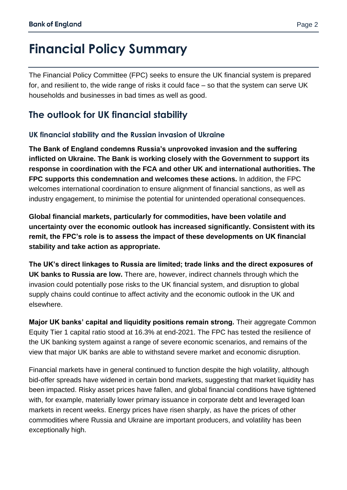# **Financial Policy Summary**

The Financial Policy Committee (FPC) seeks to ensure the UK financial system is prepared for, and resilient to, the wide range of risks it could face – so that the system can serve UK households and businesses in bad times as well as good.

## **The outlook for UK financial stability**

#### **UK financial stability and the Russian invasion of Ukraine**

**The Bank of England condemns Russia's unprovoked invasion and the suffering inflicted on Ukraine. The Bank is working closely with the Government to support its response in coordination with the FCA and other UK and international authorities. The FPC supports this condemnation and welcomes these actions.** In addition, the FPC welcomes international coordination to ensure alignment of financial sanctions, as well as industry engagement, to minimise the potential for unintended operational consequences.

**Global financial markets, particularly for commodities, have been volatile and uncertainty over the economic outlook has increased significantly. Consistent with its remit, the FPC's role is to assess the impact of these developments on UK financial stability and take action as appropriate.** 

**The UK's direct linkages to Russia are limited; trade links and the direct exposures of UK banks to Russia are low.** There are, however, indirect channels through which the invasion could potentially pose risks to the UK financial system, and disruption to global supply chains could continue to affect activity and the economic outlook in the UK and elsewhere.

**Major UK banks' capital and liquidity positions remain strong.** Their aggregate Common Equity Tier 1 capital ratio stood at 16.3% at end-2021. The FPC has tested the resilience of the UK banking system against a range of severe economic scenarios, and remains of the view that major UK banks are able to withstand severe market and economic disruption.

Financial markets have in general continued to function despite the high volatility, although bid-offer spreads have widened in certain bond markets, suggesting that market liquidity has been impacted. Risky asset prices have fallen, and global financial conditions have tightened with, for example, materially lower primary issuance in corporate debt and leveraged loan markets in recent weeks. Energy prices have risen sharply, as have the prices of other commodities where Russia and Ukraine are important producers, and volatility has been exceptionally high.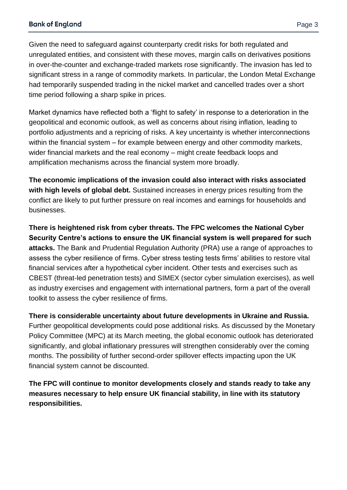Given the need to safeguard against counterparty credit risks for both regulated and unregulated entities, and consistent with these moves, margin calls on derivatives positions in over-the-counter and exchange-traded markets rose significantly. The invasion has led to significant stress in a range of commodity markets. In particular, the London Metal Exchange had temporarily suspended trading in the nickel market and cancelled trades over a short time period following a sharp spike in prices.

Market dynamics have reflected both a 'flight to safety' in response to a deterioration in the geopolitical and economic outlook, as well as concerns about rising inflation, leading to portfolio adjustments and a repricing of risks. A key uncertainty is whether interconnections within the financial system – for example between energy and other commodity markets, wider financial markets and the real economy – might create feedback loops and amplification mechanisms across the financial system more broadly.

**The economic implications of the invasion could also interact with risks associated with high levels of global debt.** Sustained increases in energy prices resulting from the conflict are likely to put further pressure on real incomes and earnings for households and businesses.

**There is heightened risk from cyber threats. The FPC welcomes the National Cyber Security Centre's actions to ensure the UK financial system is well prepared for such attacks.** The Bank and Prudential Regulation Authority (PRA) use a range of approaches to assess the cyber resilience of firms. Cyber stress testing tests firms' abilities to restore vital financial services after a hypothetical cyber incident. Other tests and exercises such as CBEST (threat-led penetration tests) and SIMEX (sector cyber simulation exercises), as well as industry exercises and engagement with international partners, form a part of the overall toolkit to assess the cyber resilience of firms.

**There is considerable uncertainty about future developments in Ukraine and Russia.** Further geopolitical developments could pose additional risks. As discussed by the Monetary Policy Committee (MPC) at its March meeting, the global economic outlook has deteriorated significantly, and global inflationary pressures will strengthen considerably over the coming months. The possibility of further second-order spillover effects impacting upon the UK financial system cannot be discounted.

**The FPC will continue to monitor developments closely and stands ready to take any measures necessary to help ensure UK financial stability, in line with its statutory responsibilities.**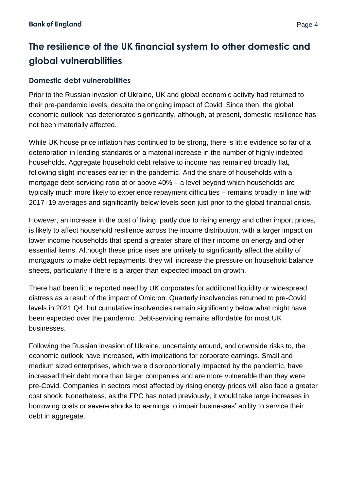## **The resilience of the UK financial system to other domestic and global vulnerabilities**

#### **Domestic debt vulnerabilities**

Prior to the Russian invasion of Ukraine, UK and global economic activity had returned to their pre-pandemic levels, despite the ongoing impact of Covid. Since then, the global economic outlook has deteriorated significantly, although, at present, domestic resilience has not been materially affected.

While UK house price inflation has continued to be strong, there is little evidence so far of a deterioration in lending standards or a material increase in the number of highly indebted households. Aggregate household debt relative to income has remained broadly flat, following slight increases earlier in the pandemic. And the share of households with a mortgage debt-servicing ratio at or above 40% – a level beyond which households are typically much more likely to experience repayment difficulties – remains broadly in line with 2017–19 averages and significantly below levels seen just prior to the global financial crisis.

However, an increase in the cost of living, partly due to rising energy and other import prices, is likely to affect household resilience across the income distribution, with a larger impact on lower income households that spend a greater share of their income on energy and other essential items. Although these price rises are unlikely to significantly affect the ability of mortgagors to make debt repayments, they will increase the pressure on household balance sheets, particularly if there is a larger than expected impact on growth.

There had been little reported need by UK corporates for additional liquidity or widespread distress as a result of the impact of Omicron. Quarterly insolvencies returned to pre-Covid levels in 2021 Q4, but cumulative insolvencies remain significantly below what might have been expected over the pandemic. Debt-servicing remains affordable for most UK businesses.

Following the Russian invasion of Ukraine, uncertainty around, and downside risks to, the economic outlook have increased, with implications for corporate earnings. Small and medium sized enterprises, which were disproportionally impacted by the pandemic, have increased their debt more than larger companies and are more vulnerable than they were pre-Covid. Companies in sectors most affected by rising energy prices will also face a greater cost shock. Nonetheless, as the FPC has noted previously, it would take large increases in borrowing costs or severe shocks to earnings to impair businesses' ability to service their debt in aggregate.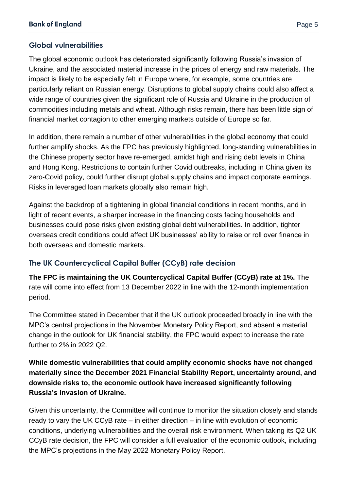#### **Global vulnerabilities**

The global economic outlook has deteriorated significantly following Russia's invasion of Ukraine, and the associated material increase in the prices of energy and raw materials. The impact is likely to be especially felt in Europe where, for example, some countries are particularly reliant on Russian energy. Disruptions to global supply chains could also affect a wide range of countries given the significant role of Russia and Ukraine in the production of commodities including metals and wheat. Although risks remain, there has been little sign of financial market contagion to other emerging markets outside of Europe so far.

In addition, there remain a number of other vulnerabilities in the global economy that could further amplify shocks. As the FPC has previously highlighted, long-standing vulnerabilities in the Chinese property sector have re-emerged, amidst high and rising debt levels in China and Hong Kong. Restrictions to contain further Covid outbreaks, including in China given its zero-Covid policy, could further disrupt global supply chains and impact corporate earnings. Risks in leveraged loan markets globally also remain high.

Against the backdrop of a tightening in global financial conditions in recent months, and in light of recent events, a sharper increase in the financing costs facing households and businesses could pose risks given existing global debt vulnerabilities. In addition, tighter overseas credit conditions could affect UK businesses' ability to raise or roll over finance in both overseas and domestic markets.

#### **The UK Countercyclical Capital Buffer (CCyB) rate decision**

**The FPC is maintaining the UK Countercyclical Capital Buffer (CCyB) rate at 1%.** The rate will come into effect from 13 December 2022 in line with the 12-month implementation period.

The Committee stated in December that if the UK outlook proceeded broadly in line with the MPC's central projections in the November Monetary Policy Report, and absent a material change in the outlook for UK financial stability, the FPC would expect to increase the rate further to 2% in 2022 Q2.

#### **While domestic vulnerabilities that could amplify economic shocks have not changed materially since the December 2021 Financial Stability Report, uncertainty around, and downside risks to, the economic outlook have increased significantly following Russia's invasion of Ukraine.**

Given this uncertainty, the Committee will continue to monitor the situation closely and stands ready to vary the UK CCyB rate – in either direction – in line with evolution of economic conditions, underlying vulnerabilities and the overall risk environment. When taking its Q2 UK CCyB rate decision, the FPC will consider a full evaluation of the economic outlook, including the MPC's projections in the May 2022 Monetary Policy Report.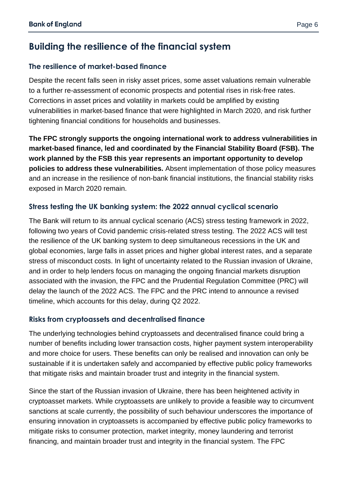## **Building the resilience of the financial system**

#### **The resilience of market-based finance**

Despite the recent falls seen in risky asset prices, some asset valuations remain vulnerable to a further re-assessment of economic prospects and potential rises in risk-free rates. Corrections in asset prices and volatility in markets could be amplified by existing vulnerabilities in market‐based finance that were highlighted in March 2020, and risk further tightening financial conditions for households and businesses.

**The FPC strongly supports the ongoing international work to address vulnerabilities in market-based finance, led and coordinated by the Financial Stability Board (FSB). The work planned by the FSB this year represents an important opportunity to develop policies to address these vulnerabilities.** Absent implementation of those policy measures and an increase in the resilience of non-bank financial institutions, the financial stability risks exposed in March 2020 remain.

#### **Stress testing the UK banking system: the 2022 annual cyclical scenario**

The Bank will return to its annual cyclical scenario (ACS) stress testing framework in 2022, following two years of Covid pandemic crisis-related stress testing. The 2022 ACS will test the resilience of the UK banking system to deep simultaneous recessions in the UK and global economies, large falls in asset prices and higher global interest rates, and a separate stress of misconduct costs. In light of uncertainty related to the Russian invasion of Ukraine, and in order to help lenders focus on managing the ongoing financial markets disruption associated with the invasion, the FPC and the Prudential Regulation Committee (PRC) will delay the launch of the 2022 ACS. The FPC and the PRC intend to announce a revised timeline, which accounts for this delay, during Q2 2022.

#### **Risks from cryptoassets and decentralised finance**

The underlying technologies behind cryptoassets and decentralised finance could bring a number of benefits including lower transaction costs, higher payment system interoperability and more choice for users. These benefits can only be realised and innovation can only be sustainable if it is undertaken safely and accompanied by effective public policy frameworks that mitigate risks and maintain broader trust and integrity in the financial system.

Since the start of the Russian invasion of Ukraine, there has been heightened activity in cryptoasset markets. While cryptoassets are unlikely to provide a feasible way to circumvent sanctions at scale currently, the possibility of such behaviour underscores the importance of ensuring innovation in cryptoassets is accompanied by effective public policy frameworks to mitigate risks to consumer protection, market integrity, money laundering and terrorist financing, and maintain broader trust and integrity in the financial system. The FPC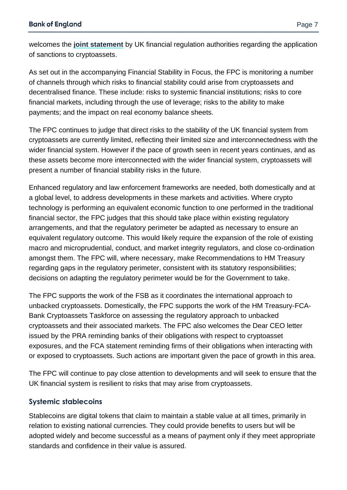welcomes the **[joint statement](https://www.bankofengland.co.uk/news/2022/march/joint-statement-from-uk-financial-regulation-authorities-on-sanctions-and-the-cryptoasset-sector)** by UK financial regulation authorities regarding the application of sanctions to cryptoassets.

As set out in the accompanying Financial Stability in Focus, the FPC is monitoring a number of channels through which risks to financial stability could arise from cryptoassets and decentralised finance. These include: risks to systemic financial institutions; risks to core financial markets, including through the use of leverage; risks to the ability to make payments; and the impact on real economy balance sheets.

The FPC continues to judge that direct risks to the stability of the UK financial system from cryptoassets are currently limited, reflecting their limited size and interconnectedness with the wider financial system. However if the pace of growth seen in recent years continues, and as these assets become more interconnected with the wider financial system, cryptoassets will present a number of financial stability risks in the future.

Enhanced regulatory and law enforcement frameworks are needed, both domestically and at a global level, to address developments in these markets and activities. Where crypto technology is performing an equivalent economic function to one performed in the traditional financial sector, the FPC judges that this should take place within existing regulatory arrangements, and that the regulatory perimeter be adapted as necessary to ensure an equivalent regulatory outcome. This would likely require the expansion of the role of existing macro and microprudential, conduct, and market integrity regulators, and close co-ordination amongst them. The FPC will, where necessary, make Recommendations to HM Treasury regarding gaps in the regulatory perimeter, consistent with its statutory responsibilities; decisions on adapting the regulatory perimeter would be for the Government to take.

The FPC supports the work of the FSB as it coordinates the international approach to unbacked cryptoassets. Domestically, the FPC supports the work of the HM Treasury-FCA-Bank Cryptoassets Taskforce on assessing the regulatory approach to unbacked cryptoassets and their associated markets. The FPC also welcomes the Dear CEO letter issued by the PRA reminding banks of their obligations with respect to cryptoasset exposures, and the FCA statement reminding firms of their obligations when interacting with or exposed to cryptoassets. Such actions are important given the pace of growth in this area.

The FPC will continue to pay close attention to developments and will seek to ensure that the UK financial system is resilient to risks that may arise from cryptoassets.

#### **Systemic stablecoins**

Stablecoins are digital tokens that claim to maintain a stable value at all times, primarily in relation to existing national currencies. They could provide benefits to users but will be adopted widely and become successful as a means of payment only if they meet appropriate standards and confidence in their value is assured.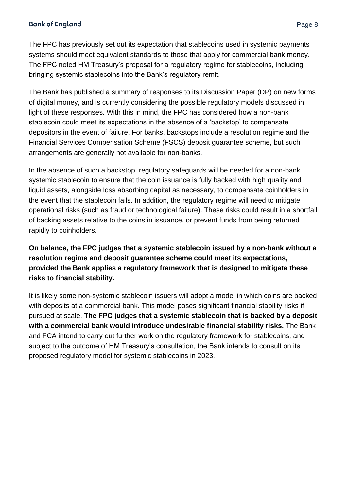The FPC has previously set out its expectation that stablecoins used in systemic payments systems should meet equivalent standards to those that apply for commercial bank money. The FPC noted HM Treasury's proposal for a regulatory regime for stablecoins, including bringing systemic stablecoins into the Bank's regulatory remit.

The Bank has published a summary of responses to its Discussion Paper (DP) on new forms of digital money, and is currently considering the possible regulatory models discussed in light of these responses. With this in mind, the FPC has considered how a non-bank stablecoin could meet its expectations in the absence of a 'backstop' to compensate depositors in the event of failure. For banks, backstops include a resolution regime and the Financial Services Compensation Scheme (FSCS) deposit guarantee scheme, but such arrangements are generally not available for non-banks.

In the absence of such a backstop, regulatory safeguards will be needed for a non-bank systemic stablecoin to ensure that the coin issuance is fully backed with high quality and liquid assets, alongside loss absorbing capital as necessary, to compensate coinholders in the event that the stablecoin fails. In addition, the regulatory regime will need to mitigate operational risks (such as fraud or technological failure). These risks could result in a shortfall of backing assets relative to the coins in issuance, or prevent funds from being returned rapidly to coinholders.

**On balance, the FPC judges that a systemic stablecoin issued by a non-bank without a resolution regime and deposit guarantee scheme could meet its expectations, provided the Bank applies a regulatory framework that is designed to mitigate these risks to financial stability.**

It is likely some non-systemic stablecoin issuers will adopt a model in which coins are backed with deposits at a commercial bank. This model poses significant financial stability risks if pursued at scale. **The FPC judges that a systemic stablecoin that is backed by a deposit with a commercial bank would introduce undesirable financial stability risks.** The Bank and FCA intend to carry out further work on the regulatory framework for stablecoins, and subject to the outcome of HM Treasury's consultation, the Bank intends to consult on its proposed regulatory model for systemic stablecoins in 2023.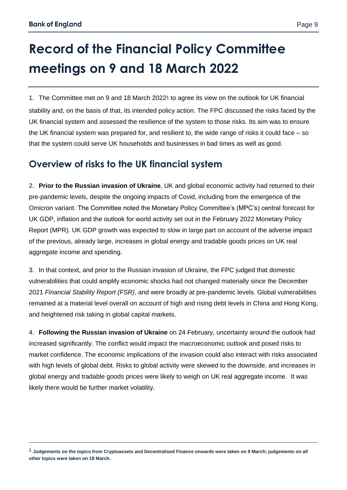$\overline{a}$ 

# **Record of the Financial Policy Committee meetings on 9 and 18 March 2022**

1. The Committee met on 9 and 18 March 20221 to agree its view on the outlook for UK financial stability and, on the basis of that, its intended policy action. The FPC discussed the risks faced by the UK financial system and assessed the resilience of the system to those risks. Its aim was to ensure the UK financial system was prepared for, and resilient to, the wide range of risks it could face – so that the system could serve UK households and businesses in bad times as well as good.

## **Overview of risks to the UK financial system**

2. **Prior to the Russian invasion of Ukraine**, UK and global economic activity had returned to their pre-pandemic levels, despite the ongoing impacts of Covid, including from the emergence of the Omicron variant. The Committee noted the Monetary Policy Committee's (MPC's) central forecast for UK GDP, inflation and the outlook for world activity set out in the February 2022 Monetary Policy Report (MPR). UK GDP growth was expected to slow in large part on account of the adverse impact of the previous, already large, increases in global energy and tradable goods prices on UK real aggregate income and spending.

3. In that context, and prior to the Russian invasion of Ukraine, the FPC judged that domestic vulnerabilities that could amplify economic shocks had not changed materially since the December 2021 *Financial Stability Report (FSR)*, and were broadly at pre-pandemic levels. Global vulnerabilities remained at a material level overall on account of high and rising debt levels in China and Hong Kong, and heightened risk taking in global capital markets.

4. **Following the Russian invasion of Ukraine** on 24 February, uncertainty around the outlook had increased significantly. The conflict would impact the macroeconomic outlook and posed risks to market confidence. The economic implications of the invasion could also interact with risks associated with high levels of global debt. Risks to global activity were skewed to the downside, and increases in global energy and tradable goods prices were likely to weigh on UK real aggregate income. It was likely there would be further market volatility.

<sup>1</sup> **Judgements on the topics from Cryptoassets and Decentralised Finance onwards were taken on 9 March; judgements on all other topics were taken on 18 March.**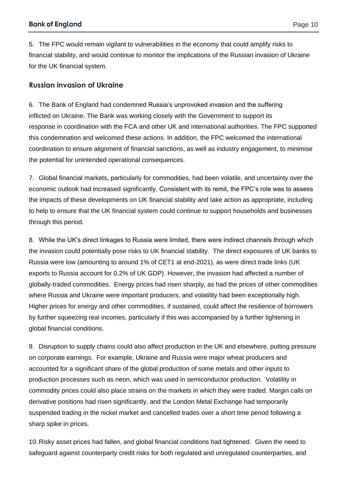5. The FPC would remain vigilant to vulnerabilities in the economy that could amplify risks to financial stability, and would continue to monitor the implications of the Russian invasion of Ukraine for the UK financial system.

#### **Russian invasion of Ukraine**

6. The Bank of England had condemned Russia's unprovoked invasion and the suffering inflicted on Ukraine. The Bank was working closely with the Government to support its response in coordination with the FCA and other UK and international authorities. The FPC supported this condemnation and welcomed these actions. In addition, the FPC welcomed the international coordination to ensure alignment of financial sanctions, as well as industry engagement, to minimise the potential for unintended operational consequences.

7. Global financial markets, particularly for commodities, had been volatile, and uncertainty over the economic outlook had increased significantly. Consistent with its remit, the FPC's role was to assess the impacts of these developments on UK financial stability and take action as appropriate, including to help to ensure that the UK financial system could continue to support households and businesses through this period.

8. While the UK's direct linkages to Russia were limited, there were indirect channels through which the invasion could potentially pose risks to UK financial stability. The direct exposures of UK banks to Russia were low (amounting to around 1% of CET1 at end-2021), as were direct trade links (UK exports to Russia account for 0.2% of UK GDP). However, the invasion had affected a number of globally-traded commodities. Energy prices had risen sharply, as had the prices of other commodities where Russia and Ukraine were important producers, and volatility had been exceptionally high. Higher prices for energy and other commodities, if sustained, could affect the resilience of borrowers by further squeezing real incomes, particularly if this was accompanied by a further tightening in global financial conditions.

9. Disruption to supply chains could also affect production in the UK and elsewhere, putting pressure on corporate earnings. For example, Ukraine and Russia were major wheat producers and accounted for a significant share of the global production of some metals and other inputs to production processes such as neon, which was used in semiconductor production. Volatility in commodity prices could also place strains on the markets in which they were traded. Margin calls on derivative positions had risen significantly, and the London Metal Exchange had temporarily suspended trading in the nickel market and cancelled trades over a short time period following a sharp spike in prices.

10. Risky asset prices had fallen, and global financial conditions had tightened. Given the need to safeguard against counterparty credit risks for both regulated and unregulated counterparties, and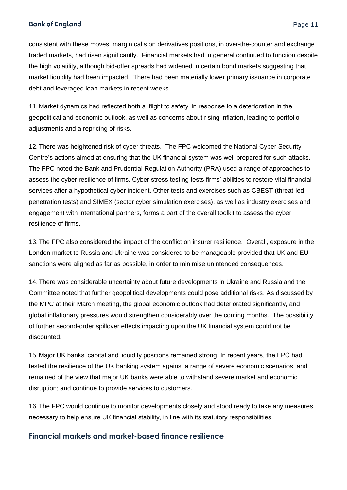#### **Bank of England**

consistent with these moves, margin calls on derivatives positions, in over-the-counter and exchange traded markets, had risen significantly. Financial markets had in general continued to function despite the high volatility, although bid-offer spreads had widened in certain bond markets suggesting that market liquidity had been impacted. There had been materially lower primary issuance in corporate debt and leveraged loan markets in recent weeks.

11. Market dynamics had reflected both a 'flight to safety' in response to a deterioration in the geopolitical and economic outlook, as well as concerns about rising inflation, leading to portfolio adjustments and a repricing of risks.

12. There was heightened risk of cyber threats. The FPC welcomed the National Cyber Security Centre's actions aimed at ensuring that the UK financial system was well prepared for such attacks. The FPC noted the Bank and Prudential Regulation Authority (PRA) used a range of approaches to assess the cyber resilience of firms. Cyber stress testing tests firms' abilities to restore vital financial services after a hypothetical cyber incident. Other tests and exercises such as CBEST (threat-led penetration tests) and SIMEX (sector cyber simulation exercises), as well as industry exercises and engagement with international partners, forms a part of the overall toolkit to assess the cyber resilience of firms.

13. The FPC also considered the impact of the conflict on insurer resilience. Overall, exposure in the London market to Russia and Ukraine was considered to be manageable provided that UK and EU sanctions were aligned as far as possible, in order to minimise unintended consequences.

14. There was considerable uncertainty about future developments in Ukraine and Russia and the Committee noted that further geopolitical developments could pose additional risks. As discussed by the MPC at their March meeting, the global economic outlook had deteriorated significantly, and global inflationary pressures would strengthen considerably over the coming months. The possibility of further second-order spillover effects impacting upon the UK financial system could not be discounted.

15. Major UK banks' capital and liquidity positions remained strong. In recent years, the FPC had tested the resilience of the UK banking system against a range of severe economic scenarios, and remained of the view that major UK banks were able to withstand severe market and economic disruption; and continue to provide services to customers.

16. The FPC would continue to monitor developments closely and stood ready to take any measures necessary to help ensure UK financial stability, in line with its statutory responsibilities.

#### **Financial markets and market-based finance resilience**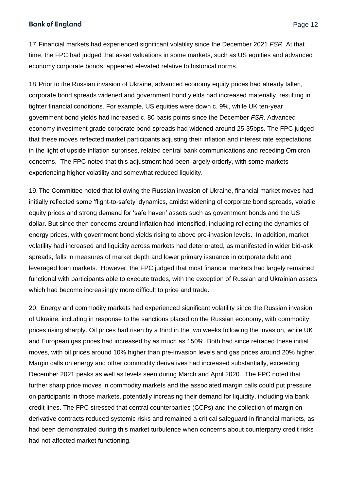17. Financial markets had experienced significant volatility since the December 2021 *FSR.* At that time, the FPC had judged that asset valuations in some markets, such as US equities and advanced economy corporate bonds, appeared elevated relative to historical norms.

18.Prior to the Russian invasion of Ukraine, advanced economy equity prices had already fallen, corporate bond spreads widened and government bond yields had increased materially, resulting in tighter financial conditions. For example, US equities were down c. 9%, while UK ten-year government bond yields had increased c. 80 basis points since the December *FSR*. Advanced economy investment grade corporate bond spreads had widened around 25-35bps. The FPC judged that these moves reflected market participants adjusting their inflation and interest rate expectations in the light of upside inflation surprises, related central bank communications and receding Omicron concerns. The FPC noted that this adjustment had been largely orderly, with some markets experiencing higher volatility and somewhat reduced liquidity.

19. The Committee noted that following the Russian invasion of Ukraine, financial market moves had initially reflected some 'flight-to-safety' dynamics, amidst widening of corporate bond spreads, volatile equity prices and strong demand for 'safe haven' assets such as government bonds and the US dollar. But since then concerns around inflation had intensified, including reflecting the dynamics of energy prices, with government bond yields rising to above pre-invasion levels. In addition, market volatility had increased and liquidity across markets had deteriorated, as manifested in wider bid-ask spreads, falls in measures of market depth and lower primary issuance in corporate debt and leveraged loan markets. However, the FPC judged that most financial markets had largely remained functional with participants able to execute trades, with the exception of Russian and Ukrainian assets which had become increasingly more difficult to price and trade.

20. Energy and commodity markets had experienced significant volatility since the Russian invasion of Ukraine, including in response to the sanctions placed on the Russian economy, with commodity prices rising sharply. Oil prices had risen by a third in the two weeks following the invasion, while UK and European gas prices had increased by as much as 150%. Both had since retraced these initial moves, with oil prices around 10% higher than pre-invasion levels and gas prices around 20% higher. Margin calls on energy and other commodity derivatives had increased substantially, exceeding December 2021 peaks as well as levels seen during March and April 2020. The FPC noted that further sharp price moves in commodity markets and the associated margin calls could put pressure on participants in those markets, potentially increasing their demand for liquidity, including via bank credit lines. The FPC stressed that central counterparties (CCPs) and the collection of margin on derivative contracts reduced systemic risks and remained a critical safeguard in financial markets, as had been demonstrated during this market turbulence when concerns about counterparty credit risks had not affected market functioning.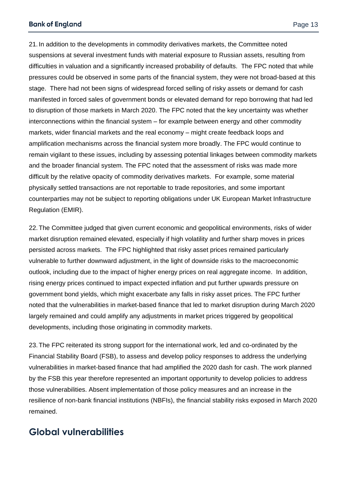21. In addition to the developments in commodity derivatives markets, the Committee noted suspensions at several investment funds with material exposure to Russian assets, resulting from difficulties in valuation and a significantly increased probability of defaults. The FPC noted that while pressures could be observed in some parts of the financial system, they were not broad-based at this stage. There had not been signs of widespread forced selling of risky assets or demand for cash manifested in forced sales of government bonds or elevated demand for repo borrowing that had led to disruption of those markets in March 2020. The FPC noted that the key uncertainty was whether interconnections within the financial system – for example between energy and other commodity markets, wider financial markets and the real economy – might create feedback loops and amplification mechanisms across the financial system more broadly. The FPC would continue to remain vigilant to these issues, including by assessing potential linkages between commodity markets and the broader financial system. The FPC noted that the assessment of risks was made more difficult by the relative opacity of commodity derivatives markets. For example, some material physically settled transactions are not reportable to trade repositories, and some important counterparties may not be subject to reporting obligations under UK European Market Infrastructure Regulation (EMIR).

22. The Committee judged that given current economic and geopolitical environments, risks of wider market disruption remained elevated, especially if high volatility and further sharp moves in prices persisted across markets. The FPC highlighted that risky asset prices remained particularly vulnerable to further downward adjustment, in the light of downside risks to the macroeconomic outlook, including due to the impact of higher energy prices on real aggregate income. In addition, rising energy prices continued to impact expected inflation and put further upwards pressure on government bond yields, which might exacerbate any falls in risky asset prices. The FPC further noted that the vulnerabilities in market-based finance that led to market disruption during March 2020 largely remained and could amplify any adjustments in market prices triggered by geopolitical developments, including those originating in commodity markets.

23. The FPC reiterated its strong support for the international work, led and co-ordinated by the Financial Stability Board (FSB), to assess and develop policy responses to address the underlying vulnerabilities in market-based finance that had amplified the 2020 dash for cash. The work planned by the FSB this year therefore represented an important opportunity to develop policies to address those vulnerabilities. Absent implementation of those policy measures and an increase in the resilience of non-bank financial institutions (NBFIs), the financial stability risks exposed in March 2020 remained.

## **Global vulnerabilities**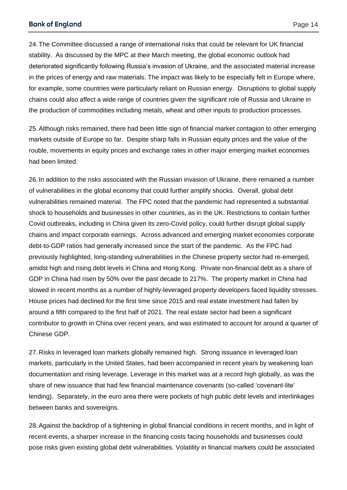#### **Bank of England**

24. The Committee discussed a range of international risks that could be relevant for UK financial stability. As discussed by the MPC at their March meeting, the global economic outlook had deteriorated significantly following Russia's invasion of Ukraine, and the associated material increase in the prices of energy and raw materials. The impact was likely to be especially felt in Europe where, for example, some countries were particularly reliant on Russian energy. Disruptions to global supply chains could also affect a wide range of countries given the significant role of Russia and Ukraine in the production of commodities including metals, wheat and other inputs to production processes.

25.Although risks remained, there had been little sign of financial market contagion to other emerging markets outside of Europe so far. Despite sharp falls in Russian equity prices and the value of the rouble, movements in equity prices and exchange rates in other major emerging market economies had been limited.

26. In addition to the risks associated with the Russian invasion of Ukraine, there remained a number of vulnerabilities in the global economy that could further amplify shocks. Overall, global debt vulnerabilities remained material. The FPC noted that the pandemic had represented a substantial shock to households and businesses in other countries, as in the UK. Restrictions to contain further Covid outbreaks, including in China given its zero-Covid policy, could further disrupt global supply chains and impact corporate earnings. Across advanced and emerging market economies corporate debt-to-GDP ratios had generally increased since the start of the pandemic. As the FPC had previously highlighted, long-standing vulnerabilities in the Chinese property sector had re-emerged, amidst high and rising debt levels in China and Hong Kong. Private non-financial debt as a share of GDP in China had risen by 50% over the past decade to 217%. The property market in China had slowed in recent months as a number of highly-leveraged property developers faced liquidity stresses. House prices had declined for the first time since 2015 and real estate investment had fallen by around a fifth compared to the first half of 2021. The real estate sector had been a significant contributor to growth in China over recent years, and was estimated to account for around a quarter of Chinese GDP.

27. Risks in leveraged loan markets globally remained high. Strong issuance in leveraged loan markets, particularly in the United States, had been accompanied in recent years by weakening loan documentation and rising leverage. Leverage in this market was at a record high globally, as was the share of new issuance that had few financial maintenance covenants (so-called 'covenant-lite' lending). Separately, in the euro area there were pockets of high public debt levels and interlinkages between banks and sovereigns.

28.Against the backdrop of a tightening in global financial conditions in recent months, and in light of recent events, a sharper increase in the financing costs facing households and businesses could pose risks given existing global debt vulnerabilities. Volatility in financial markets could be associated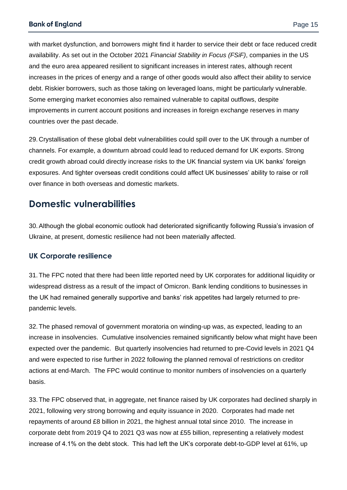with market dysfunction, and borrowers might find it harder to service their debt or face reduced credit availability. As set out in the October 2021 *Financial Stability in Focus (FSiF)*, companies in the US and the euro area appeared resilient to significant increases in interest rates, although recent increases in the prices of energy and a range of other goods would also affect their ability to service debt. Riskier borrowers, such as those taking on leveraged loans, might be particularly vulnerable. Some emerging market economies also remained vulnerable to capital outflows, despite improvements in current account positions and increases in foreign exchange reserves in many countries over the past decade.

29. Crystallisation of these global debt vulnerabilities could spill over to the UK through a number of channels. For example, a downturn abroad could lead to reduced demand for UK exports. Strong credit growth abroad could directly increase risks to the UK financial system via UK banks' foreign exposures. And tighter overseas credit conditions could affect UK businesses' ability to raise or roll over finance in both overseas and domestic markets.

## **Domestic vulnerabilities**

30.Although the global economic outlook had deteriorated significantly following Russia's invasion of Ukraine, at present, domestic resilience had not been materially affected.

#### **UK Corporate resilience**

31. The FPC noted that there had been little reported need by UK corporates for additional liquidity or widespread distress as a result of the impact of Omicron. Bank lending conditions to businesses in the UK had remained generally supportive and banks' risk appetites had largely returned to prepandemic levels.

32. The phased removal of government moratoria on winding-up was, as expected, leading to an increase in insolvencies. Cumulative insolvencies remained significantly below what might have been expected over the pandemic. But quarterly insolvencies had returned to pre-Covid levels in 2021 Q4 and were expected to rise further in 2022 following the planned removal of restrictions on creditor actions at end-March. The FPC would continue to monitor numbers of insolvencies on a quarterly basis.

33. The FPC observed that, in aggregate, net finance raised by UK corporates had declined sharply in 2021, following very strong borrowing and equity issuance in 2020. Corporates had made net repayments of around £8 billion in 2021, the highest annual total since 2010. The increase in corporate debt from 2019 Q4 to 2021 Q3 was now at £55 billion, representing a relatively modest increase of 4.1% on the debt stock. This had left the UK's corporate debt-to-GDP level at 61%, up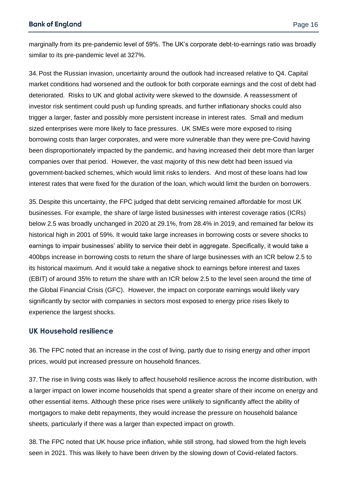marginally from its pre-pandemic level of 59%. The UK's corporate debt-to-earnings ratio was broadly similar to its pre-pandemic level at 327%.

34.Post the Russian invasion, uncertainty around the outlook had increased relative to Q4. Capital market conditions had worsened and the outlook for both corporate earnings and the cost of debt had deteriorated. Risks to UK and global activity were skewed to the downside. A reassessment of investor risk sentiment could push up funding spreads, and further inflationary shocks could also trigger a larger, faster and possibly more persistent increase in interest rates. Small and medium sized enterprises were more likely to face pressures. UK SMEs were more exposed to rising borrowing costs than larger corporates, and were more vulnerable than they were pre-Covid having been disproportionately impacted by the pandemic, and having increased their debt more than larger companies over that period. However, the vast majority of this new debt had been issued via government-backed schemes, which would limit risks to lenders. And most of these loans had low interest rates that were fixed for the duration of the loan, which would limit the burden on borrowers.

35. Despite this uncertainty, the FPC judged that debt servicing remained affordable for most UK businesses. For example, the share of large listed businesses with interest coverage ratios (ICRs) below 2.5 was broadly unchanged in 2020 at 29.1%, from 28.4% in 2019, and remained far below its historical high in 2001 of 59%. It would take large increases in borrowing costs or severe shocks to earnings to impair businesses' ability to service their debt in aggregate. Specifically, it would take a 400bps increase in borrowing costs to return the share of large businesses with an ICR below 2.5 to its historical maximum. And it would take a negative shock to earnings before interest and taxes (EBIT) of around 35% to return the share with an ICR below 2.5 to the level seen around the time of the Global Financial Crisis (GFC). However, the impact on corporate earnings would likely vary significantly by sector with companies in sectors most exposed to energy price rises likely to experience the largest shocks.

#### **UK Household resilience**

36. The FPC noted that an increase in the cost of living, partly due to rising energy and other import prices, would put increased pressure on household finances.

37. The rise in living costs was likely to affect household resilience across the income distribution, with a larger impact on lower income households that spend a greater share of their income on energy and other essential items. Although these price rises were unlikely to significantly affect the ability of mortgagors to make debt repayments, they would increase the pressure on household balance sheets, particularly if there was a larger than expected impact on growth.

38. The FPC noted that UK house price inflation, while still strong, had slowed from the high levels seen in 2021. This was likely to have been driven by the slowing down of Covid-related factors.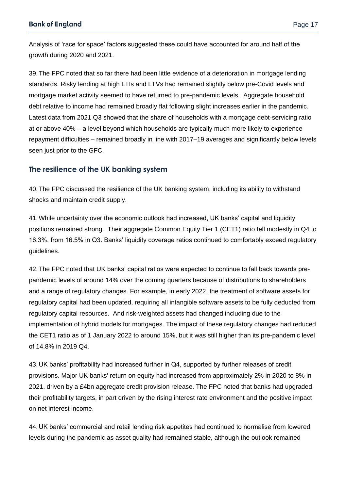Analysis of 'race for space' factors suggested these could have accounted for around half of the growth during 2020 and 2021.

39. The FPC noted that so far there had been little evidence of a deterioration in mortgage lending standards. Risky lending at high LTIs and LTVs had remained slightly below pre-Covid levels and mortgage market activity seemed to have returned to pre-pandemic levels. Aggregate household debt relative to income had remained broadly flat following slight increases earlier in the pandemic. Latest data from 2021 Q3 showed that the share of households with a mortgage debt-servicing ratio at or above 40% – a level beyond which households are typically much more likely to experience repayment difficulties – remained broadly in line with 2017–19 averages and significantly below levels seen just prior to the GFC.

#### **The resilience of the UK banking system**

40. The FPC discussed the resilience of the UK banking system, including its ability to withstand shocks and maintain credit supply.

41.While uncertainty over the economic outlook had increased, UK banks' capital and liquidity positions remained strong. Their aggregate Common Equity Tier 1 (CET1) ratio fell modestly in Q4 to 16.3%, from 16.5% in Q3. Banks' liquidity coverage ratios continued to comfortably exceed regulatory guidelines.

42. The FPC noted that UK banks' capital ratios were expected to continue to fall back towards prepandemic levels of around 14% over the coming quarters because of distributions to shareholders and a range of regulatory changes. For example, in early 2022, the treatment of software assets for regulatory capital had been updated, requiring all intangible software assets to be fully deducted from regulatory capital resources. And risk-weighted assets had changed including due to the implementation of hybrid models for mortgages. The impact of these regulatory changes had reduced the CET1 ratio as of 1 January 2022 to around 15%, but it was still higher than its pre-pandemic level of 14.8% in 2019 Q4.

43. UK banks' profitability had increased further in Q4, supported by further releases of credit provisions. Major UK banks' return on equity had increased from approximately 2% in 2020 to 8% in 2021, driven by a £4bn aggregate credit provision release. The FPC noted that banks had upgraded their profitability targets, in part driven by the rising interest rate environment and the positive impact on net interest income.

44. UK banks' commercial and retail lending risk appetites had continued to normalise from lowered levels during the pandemic as asset quality had remained stable, although the outlook remained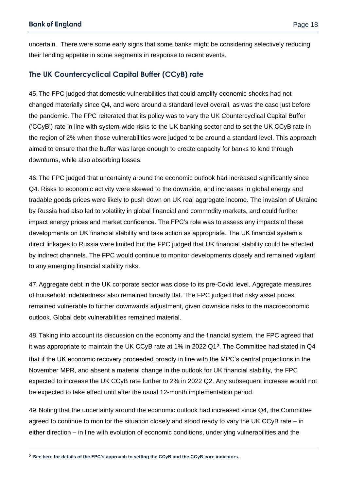uncertain. There were some early signs that some banks might be considering selectively reducing their lending appetite in some segments in response to recent events.

#### **The UK Countercyclical Capital Buffer (CCyB) rate**

45. The FPC judged that domestic vulnerabilities that could amplify economic shocks had not changed materially since Q4, and were around a standard level overall, as was the case just before the pandemic. The FPC reiterated that its policy was to vary the UK Countercyclical Capital Buffer ('CCyB') rate in line with system-wide risks to the UK banking sector and to set the UK CCyB rate in the region of 2% when those vulnerabilities were judged to be around a standard level. This approach aimed to ensure that the buffer was large enough to create capacity for banks to lend through downturns, while also absorbing losses.

46. The FPC judged that uncertainty around the economic outlook had increased significantly since Q4. Risks to economic activity were skewed to the downside, and increases in global energy and tradable goods prices were likely to push down on UK real aggregate income. The invasion of Ukraine by Russia had also led to volatility in global financial and commodity markets, and could further impact energy prices and market confidence. The FPC's role was to assess any impacts of these developments on UK financial stability and take action as appropriate. The UK financial system's direct linkages to Russia were limited but the FPC judged that UK financial stability could be affected by indirect channels. The FPC would continue to monitor developments closely and remained vigilant to any emerging financial stability risks.

47.Aggregate debt in the UK corporate sector was close to its pre-Covid level. Aggregate measures of household indebtedness also remained broadly flat. The FPC judged that risky asset prices remained vulnerable to further downwards adjustment, given downside risks to the macroeconomic outlook. Global debt vulnerabilities remained material.

48. Taking into account its discussion on the economy and the financial system, the FPC agreed that it was appropriate to maintain the UK CCyB rate at 1% in 2022 Q12. The Committee had stated in Q4 that if the UK economic recovery proceeded broadly in line with the MPC's central projections in the November MPR, and absent a material change in the outlook for UK financial stability, the FPC expected to increase the UK CCyB rate further to 2% in 2022 Q2. Any subsequent increase would not be expected to take effect until after the usual 12-month implementation period.

49. Noting that the uncertainty around the economic outlook had increased since Q4, the Committee agreed to continue to monitor the situation closely and stood ready to vary the UK CCyB rate – in either direction – in line with evolution of economic conditions, underlying vulnerabilities and the

2 **See [here](https://www.bankofengland.co.uk/financial-stability) for details of the FPC's approach to setting the CCyB and the CCyB core indicators.**

 $\overline{a}$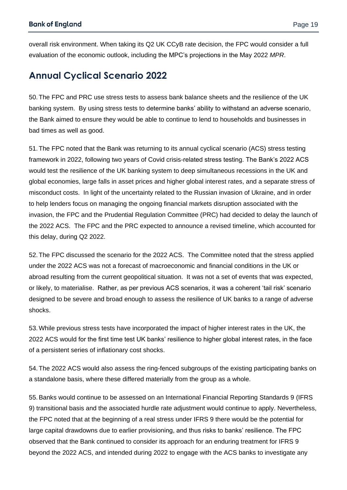overall risk environment. When taking its Q2 UK CCyB rate decision, the FPC would consider a full evaluation of the economic outlook, including the MPC's projections in the May 2022 *MPR*.

## **Annual Cyclical Scenario 2022**

50. The FPC and PRC use stress tests to assess bank balance sheets and the resilience of the UK banking system. By using stress tests to determine banks' ability to withstand an adverse scenario, the Bank aimed to ensure they would be able to continue to lend to households and businesses in bad times as well as good.

51. The FPC noted that the Bank was returning to its annual cyclical scenario (ACS) stress testing framework in 2022, following two years of Covid crisis-related stress testing. The Bank's 2022 ACS would test the resilience of the UK banking system to deep simultaneous recessions in the UK and global economies, large falls in asset prices and higher global interest rates, and a separate stress of misconduct costs. In light of the uncertainty related to the Russian invasion of Ukraine, and in order to help lenders focus on managing the ongoing financial markets disruption associated with the invasion, the FPC and the Prudential Regulation Committee (PRC) had decided to delay the launch of the 2022 ACS. The FPC and the PRC expected to announce a revised timeline, which accounted for this delay, during Q2 2022.

52. The FPC discussed the scenario for the 2022 ACS. The Committee noted that the stress applied under the 2022 ACS was not a forecast of macroeconomic and financial conditions in the UK or abroad resulting from the current geopolitical situation. It was not a set of events that was expected, or likely, to materialise. Rather, as per previous ACS scenarios, it was a coherent 'tail risk' scenario designed to be severe and broad enough to assess the resilience of UK banks to a range of adverse shocks.

53.While previous stress tests have incorporated the impact of higher interest rates in the UK, the 2022 ACS would for the first time test UK banks' resilience to higher global interest rates, in the face of a persistent series of inflationary cost shocks.

54. The 2022 ACS would also assess the ring-fenced subgroups of the existing participating banks on a standalone basis, where these differed materially from the group as a whole.

55.Banks would continue to be assessed on an International Financial Reporting Standards 9 (IFRS 9) transitional basis and the associated hurdle rate adjustment would continue to apply. Nevertheless, the FPC noted that at the beginning of a real stress under IFRS 9 there would be the potential for large capital drawdowns due to earlier provisioning, and thus risks to banks' resilience. The FPC observed that the Bank continued to consider its approach for an enduring treatment for IFRS 9 beyond the 2022 ACS, and intended during 2022 to engage with the ACS banks to investigate any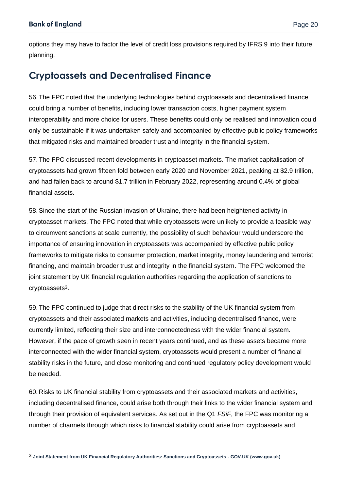$\overline{a}$ 

options they may have to factor the level of credit loss provisions required by IFRS 9 into their future planning.

## **Cryptoassets and Decentralised Finance**

56. The FPC noted that the underlying technologies behind cryptoassets and decentralised finance could bring a number of benefits, including lower transaction costs, higher payment system interoperability and more choice for users. These benefits could only be realised and innovation could only be sustainable if it was undertaken safely and accompanied by effective public policy frameworks that mitigated risks and maintained broader trust and integrity in the financial system.

57. The FPC discussed recent developments in cryptoasset markets. The market capitalisation of cryptoassets had grown fifteen fold between early 2020 and November 2021, peaking at \$2.9 trillion, and had fallen back to around \$1.7 trillion in February 2022, representing around 0.4% of global financial assets.

58.Since the start of the Russian invasion of Ukraine, there had been heightened activity in cryptoasset markets. The FPC noted that while cryptoassets were unlikely to provide a feasible way to circumvent sanctions at scale currently, the possibility of such behaviour would underscore the importance of ensuring innovation in cryptoassets was accompanied by effective public policy frameworks to mitigate risks to consumer protection, market integrity, money laundering and terrorist financing, and maintain broader trust and integrity in the financial system. The FPC welcomed the joint statement by UK financial regulation authorities regarding the application of sanctions to cryptoassets3.

59. The FPC continued to judge that direct risks to the stability of the UK financial system from cryptoassets and their associated markets and activities, including decentralised finance, were currently limited, reflecting their size and interconnectedness with the wider financial system. However, if the pace of growth seen in recent years continued, and as these assets became more interconnected with the wider financial system, cryptoassets would present a number of financial stability risks in the future, and close monitoring and continued regulatory policy development would be needed.

60. Risks to UK financial stability from cryptoassets and their associated markets and activities, including decentralised finance, could arise both through their links to the wider financial system and through their provision of equivalent services. As set out in the Q1 *FSiF*, the FPC was monitoring a number of channels through which risks to financial stability could arise from cryptoassets and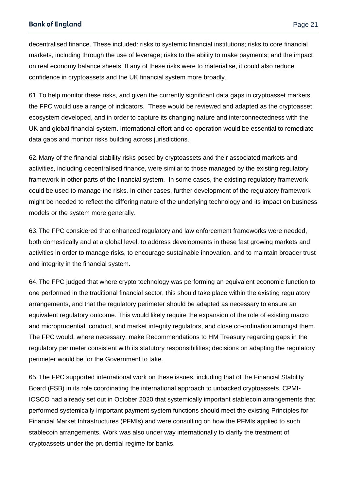decentralised finance. These included: risks to systemic financial institutions; risks to core financial markets, including through the use of leverage; risks to the ability to make payments; and the impact on real economy balance sheets. If any of these risks were to materialise, it could also reduce confidence in cryptoassets and the UK financial system more broadly.

61. To help monitor these risks, and given the currently significant data gaps in cryptoasset markets, the FPC would use a range of indicators. These would be reviewed and adapted as the cryptoasset ecosystem developed, and in order to capture its changing nature and interconnectedness with the UK and global financial system. International effort and co-operation would be essential to remediate data gaps and monitor risks building across jurisdictions.

62. Many of the financial stability risks posed by cryptoassets and their associated markets and activities, including decentralised finance, were similar to those managed by the existing regulatory framework in other parts of the financial system. In some cases, the existing regulatory framework could be used to manage the risks. In other cases, further development of the regulatory framework might be needed to reflect the differing nature of the underlying technology and its impact on business models or the system more generally.

63. The FPC considered that enhanced regulatory and law enforcement frameworks were needed, both domestically and at a global level, to address developments in these fast growing markets and activities in order to manage risks, to encourage sustainable innovation, and to maintain broader trust and integrity in the financial system.

64. The FPC judged that where crypto technology was performing an equivalent economic function to one performed in the traditional financial sector, this should take place within the existing regulatory arrangements, and that the regulatory perimeter should be adapted as necessary to ensure an equivalent regulatory outcome. This would likely require the expansion of the role of existing macro and microprudential, conduct, and market integrity regulators, and close co-ordination amongst them. The FPC would, where necessary, make Recommendations to HM Treasury regarding gaps in the regulatory perimeter consistent with its statutory responsibilities; decisions on adapting the regulatory perimeter would be for the Government to take.

65. The FPC supported international work on these issues, including that of the Financial Stability Board (FSB) in its role coordinating the international approach to unbacked cryptoassets. CPMI-IOSCO had already set out in October 2020 that systemically important stablecoin arrangements that performed systemically important payment system functions should meet the existing Principles for Financial Market Infrastructures (PFMIs) and were consulting on how the PFMIs applied to such stablecoin arrangements. Work was also under way internationally to clarify the treatment of cryptoassets under the prudential regime for banks.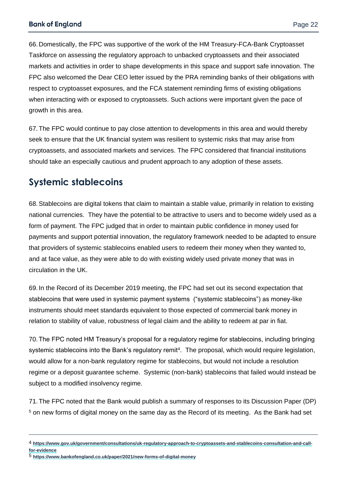66. Domestically, the FPC was supportive of the work of the HM Treasury-FCA-Bank Cryptoasset Taskforce on assessing the regulatory approach to unbacked cryptoassets and their associated markets and activities in order to shape developments in this space and support safe innovation. The FPC also welcomed the Dear CEO letter issued by the PRA reminding banks of their obligations with respect to cryptoasset exposures, and the FCA statement reminding firms of existing obligations when interacting with or exposed to cryptoassets. Such actions were important given the pace of growth in this area.

67. The FPC would continue to pay close attention to developments in this area and would thereby seek to ensure that the UK financial system was resilient to systemic risks that may arise from cryptoassets, and associated markets and services. The FPC considered that financial institutions should take an especially cautious and prudent approach to any adoption of these assets.

## **Systemic stablecoins**

68.Stablecoins are digital tokens that claim to maintain a stable value, primarily in relation to existing national currencies. They have the potential to be attractive to users and to become widely used as a form of payment. The FPC judged that in order to maintain public confidence in money used for payments and support potential innovation, the regulatory framework needed to be adapted to ensure that providers of systemic stablecoins enabled users to redeem their money when they wanted to, and at face value, as they were able to do with existing widely used private money that was in circulation in the UK.

69. In the Record of its December 2019 meeting, the FPC had set out its second expectation that stablecoins that were used in systemic payment systems ("systemic stablecoins") as money-like instruments should meet standards equivalent to those expected of commercial bank money in relation to stability of value, robustness of legal claim and the ability to redeem at par in fiat.

70. The FPC noted HM Treasury's proposal for a regulatory regime for stablecoins, including bringing systemic stablecoins into the Bank's regulatory remit<sup>4</sup>. The proposal, which would require legislation, would allow for a non-bank regulatory regime for stablecoins, but would not include a resolution regime or a deposit guarantee scheme. Systemic (non-bank) stablecoins that failed would instead be subject to a modified insolvency regime.

71. The FPC noted that the Bank would publish a summary of responses to its Discussion Paper (DP) <sup>5</sup> on [new forms of digital money](https://www.bankofengland.co.uk/paper/2021/new-forms-of-digital-money) on the same day as the Record of its meeting. As the Bank had set

5 **<https://www.bankofengland.co.uk/paper/2021/new-forms-of-digital-money>**

 $\overline{a}$ 

<sup>4</sup> **[https://www.gov.uk/government/consultations/uk-regulatory-approach-to-cryptoassets-and-stablecoins-consultation-and-call](https://www.gov.uk/government/consultations/uk-regulatory-approach-to-cryptoassets-and-stablecoins-consultation-and-call-for-evidence)[for-evidence](https://www.gov.uk/government/consultations/uk-regulatory-approach-to-cryptoassets-and-stablecoins-consultation-and-call-for-evidence)**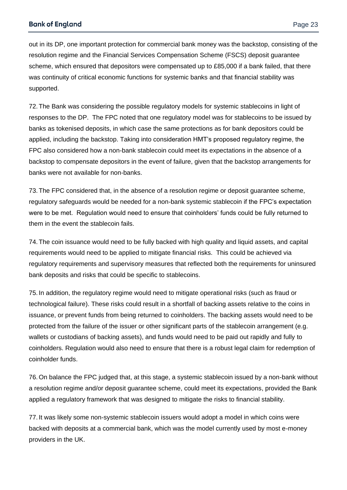out in its DP, one important protection for commercial bank money was the backstop, consisting of the resolution regime and the Financial Services Compensation Scheme (FSCS) deposit guarantee scheme, which ensured that depositors were compensated up to £85,000 if a bank failed, that there was continuity of critical economic functions for systemic banks and that financial stability was supported.

72. The Bank was considering the possible regulatory models for systemic stablecoins in light of responses to the DP. The FPC noted that one regulatory model was for stablecoins to be issued by banks as tokenised deposits, in which case the same protections as for bank depositors could be applied, including the backstop. Taking into consideration HMT's proposed regulatory regime, the FPC also considered how a non-bank stablecoin could meet its expectations in the absence of a backstop to compensate depositors in the event of failure, given that the backstop arrangements for banks were not available for non-banks.

73. The FPC considered that, in the absence of a resolution regime or deposit guarantee scheme, regulatory safeguards would be needed for a non-bank systemic stablecoin if the FPC's expectation were to be met. Regulation would need to ensure that coinholders' funds could be fully returned to them in the event the stablecoin fails.

74. The coin issuance would need to be fully backed with high quality and liquid assets, and capital requirements would need to be applied to mitigate financial risks. This could be achieved via regulatory requirements and supervisory measures that reflected both the requirements for uninsured bank deposits and risks that could be specific to stablecoins.

75. In addition, the regulatory regime would need to mitigate operational risks (such as fraud or technological failure). These risks could result in a shortfall of backing assets relative to the coins in issuance, or prevent funds from being returned to coinholders. The backing assets would need to be protected from the failure of the issuer or other significant parts of the stablecoin arrangement (e.g. wallets or custodians of backing assets), and funds would need to be paid out rapidly and fully to coinholders. Regulation would also need to ensure that there is a robust legal claim for redemption of coinholder funds.

76.On balance the FPC judged that, at this stage, a systemic stablecoin issued by a non-bank without a resolution regime and/or deposit guarantee scheme, could meet its expectations, provided the Bank applied a regulatory framework that was designed to mitigate the risks to financial stability.

77. It was likely some non-systemic stablecoin issuers would adopt a model in which coins were backed with deposits at a commercial bank, which was the model currently used by most e-money providers in the UK.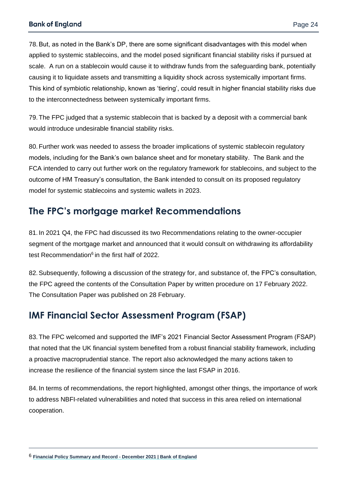78.But, as noted in the Bank's DP, there are some significant disadvantages with this model when applied to systemic stablecoins, and the model posed significant financial stability risks if pursued at scale. A run on a stablecoin would cause it to withdraw funds from the safeguarding bank, potentially causing it to liquidate assets and transmitting a liquidity shock across systemically important firms. This kind of symbiotic relationship, known as 'tiering', could result in higher financial stability risks due to the interconnectedness between systemically important firms.

79. The FPC judged that a systemic stablecoin that is backed by a deposit with a commercial bank would introduce undesirable financial stability risks.

80. Further work was needed to assess the broader implications of systemic stablecoin regulatory models, including for the Bank's own balance sheet and for monetary stability. The Bank and the FCA intended to carry out further work on the regulatory framework for stablecoins, and subject to the outcome of HM Treasury's consultation, the Bank intended to consult on its proposed regulatory model for systemic stablecoins and systemic wallets in 2023.

## **The FPC's mortgage market Recommendations**

81. In 2021 Q4, the FPC had discussed its two Recommendations relating to the owner-occupier segment of the mortgage market and announced that it would consult on withdrawing its affordability test Recommendation<sup>6</sup> in the first half of 2022.

82.Subsequently, following a discussion of the strategy for, and substance of, the FPC's consultation, the FPC agreed the contents of the Consultation Paper by written procedure on 17 February 2022. The Consultation Paper was published on 28 February.

## **IMF Financial Sector Assessment Program (FSAP)**

83. The FPC welcomed and supported the IMF's 2021 Financial Sector Assessment Program (FSAP) that noted that the UK financial system benefited from a robust financial stability framework, including a proactive macroprudential stance. The report also acknowledged the many actions taken to increase the resilience of the financial system since the last FSAP in 2016.

84. In terms of recommendations, the report highlighted, amongst other things, the importance of work to address NBFI-related vulnerabilities and noted that success in this area relied on international cooperation.

 $\overline{a}$ 

<sup>6</sup> **[Financial Policy Summary and Record -](https://www.bankofengland.co.uk/financial-policy-summary-and-record/2021/december-2021) December 2021 | Bank of England**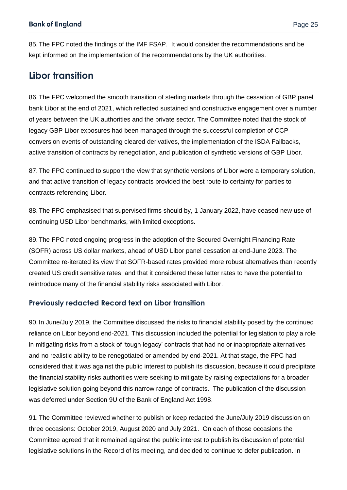85. The FPC noted the findings of the IMF FSAP. It would consider the recommendations and be kept informed on the implementation of the recommendations by the UK authorities.

## **Libor transition**

86. The FPC welcomed the smooth transition of sterling markets through the cessation of GBP panel bank Libor at the end of 2021, which reflected sustained and constructive engagement over a number of years between the UK authorities and the private sector. The Committee noted that the stock of legacy GBP Libor exposures had been managed through the successful completion of CCP conversion events of outstanding cleared derivatives, the implementation of the ISDA Fallbacks, active transition of contracts by renegotiation, and publication of synthetic versions of GBP Libor.

87. The FPC continued to support the view that synthetic versions of Libor were a temporary solution, and that active transition of legacy contracts provided the best route to certainty for parties to contracts referencing Libor.

88. The FPC emphasised that supervised firms should by, 1 January 2022, have ceased new use of continuing USD Libor benchmarks, with limited exceptions.

89. The FPC noted ongoing progress in the adoption of the Secured Overnight Financing Rate (SOFR) across US dollar markets, ahead of USD Libor panel cessation at end-June 2023. The Committee re-iterated its view that SOFR-based rates provided more robust alternatives than recently created US credit sensitive rates, and that it considered these latter rates to have the potential to reintroduce many of the financial stability risks associated with Libor.

#### **Previously redacted Record text on Libor transition**

90. In June/July 2019, the Committee discussed the risks to financial stability posed by the continued reliance on Libor beyond end-2021. This discussion included the potential for legislation to play a role in mitigating risks from a stock of 'tough legacy' contracts that had no or inappropriate alternatives and no realistic ability to be renegotiated or amended by end-2021. At that stage, the FPC had considered that it was against the public interest to publish its discussion, because it could precipitate the financial stability risks authorities were seeking to mitigate by raising expectations for a broader legislative solution going beyond this narrow range of contracts. The publication of the discussion was deferred under Section 9U of the Bank of England Act 1998.

91. The Committee reviewed whether to publish or keep redacted the June/July 2019 discussion on three occasions: October 2019, August 2020 and July 2021. On each of those occasions the Committee agreed that it remained against the public interest to publish its discussion of potential legislative solutions in the Record of its meeting, and decided to continue to defer publication. In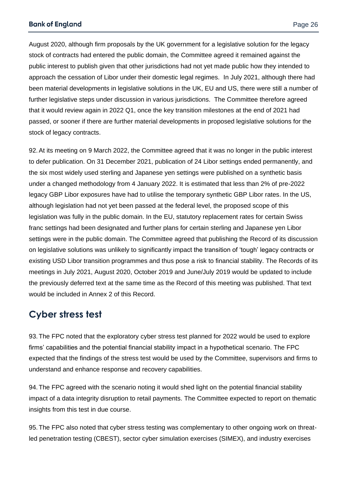August 2020, although firm proposals by the UK government for a legislative solution for the legacy stock of contracts had entered the public domain, the Committee agreed it remained against the public interest to publish given that other jurisdictions had not yet made public how they intended to approach the cessation of Libor under their domestic legal regimes. In July 2021, although there had been material developments in legislative solutions in the UK, EU and US, there were still a number of further legislative steps under discussion in various jurisdictions. The Committee therefore agreed that it would review again in 2022 Q1, once the key transition milestones at the end of 2021 had passed, or sooner if there are further material developments in proposed legislative solutions for the stock of legacy contracts.

92.At its meeting on 9 March 2022, the Committee agreed that it was no longer in the public interest to defer publication. On 31 December 2021, publication of 24 Libor settings ended permanently, and the six most widely used sterling and Japanese yen settings were published on a synthetic basis under a changed methodology from 4 January 2022. It is estimated that less than 2% of pre-2022 legacy GBP Libor exposures have had to utilise the temporary synthetic GBP Libor rates. In the US, although legislation had not yet been passed at the federal level, the proposed scope of this legislation was fully in the public domain. In the EU, statutory replacement rates for certain Swiss franc settings had been designated and further plans for certain sterling and Japanese yen Libor settings were in the public domain. The Committee agreed that publishing the Record of its discussion on legislative solutions was unlikely to significantly impact the transition of 'tough' legacy contracts or existing USD Libor transition programmes and thus pose a risk to financial stability. The Records of its meetings in July 2021, August 2020, October 2019 and June/July 2019 would be updated to include the previously deferred text at the same time as the Record of this meeting was published. That text would be included in Annex 2 of this Record.

## **Cyber stress test**

93. The FPC noted that the exploratory cyber stress test planned for 2022 would be used to explore firms' capabilities and the potential financial stability impact in a hypothetical scenario. The FPC expected that the findings of the stress test would be used by the Committee, supervisors and firms to understand and enhance response and recovery capabilities.

94. The FPC agreed with the scenario noting it would shed light on the potential financial stability impact of a data integrity disruption to retail payments. The Committee expected to report on thematic insights from this test in due course.

95. The FPC also noted that cyber stress testing was complementary to other ongoing work on threatled penetration testing (CBEST), sector cyber simulation exercises (SIMEX), and industry exercises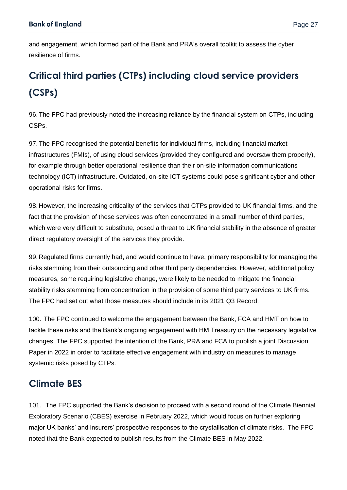and engagement, which formed part of the Bank and PRA's overall toolkit to assess the cyber resilience of firms.

## **Critical third parties (CTPs) including cloud service providers (CSPs)**

96. The FPC had previously noted the increasing reliance by the financial system on CTPs, including CSPs.

97. The FPC recognised the potential benefits for individual firms, including financial market infrastructures (FMIs), of using cloud services (provided they configured and oversaw them properly), for example through better operational resilience than their on-site information communications technology (ICT) infrastructure. Outdated, on-site ICT systems could pose significant cyber and other operational risks for firms.

98. However, the increasing criticality of the services that CTPs provided to UK financial firms, and the fact that the provision of these services was often concentrated in a small number of third parties, which were very difficult to substitute, posed a threat to UK financial stability in the absence of greater direct regulatory oversight of the services they provide.

99. Regulated firms currently had, and would continue to have, primary responsibility for managing the risks stemming from their outsourcing and other third party dependencies. However, additional policy measures, some requiring legislative change, were likely to be needed to mitigate the financial stability risks stemming from concentration in the provision of some third party services to UK firms. The FPC had set out what those measures should include in its 2021 Q3 Record.

100. The FPC continued to welcome the engagement between the Bank, FCA and HMT on how to tackle these risks and the Bank's ongoing engagement with HM Treasury on the necessary legislative changes. The FPC supported the intention of the Bank, PRA and FCA to publish a joint Discussion Paper in 2022 in order to facilitate effective engagement with industry on measures to manage systemic risks posed by CTPs.

## **Climate BES**

101. The FPC supported the Bank's decision to proceed with a second round of the Climate Biennial Exploratory Scenario (CBES) exercise in February 2022, which would focus on further exploring major UK banks' and insurers' prospective responses to the crystallisation of climate risks. The FPC noted that the Bank expected to publish results from the Climate BES in May 2022.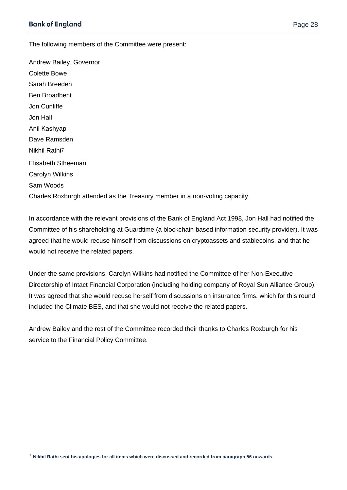$\overline{a}$ 

The following members of the Committee were present:

Andrew Bailey, Governor Colette Bowe Sarah Breeden Ben Broadbent Jon Cunliffe Jon Hall Anil Kashyap Dave Ramsden Nikhil Rathi7 Elisabeth Stheeman Carolyn Wilkins Sam Woods Charles Roxburgh attended as the Treasury member in a non-voting capacity.

In accordance with the relevant provisions of the Bank of England Act 1998, Jon Hall had notified the Committee of his shareholding at Guardtime (a blockchain based information security provider). It was agreed that he would recuse himself from discussions on cryptoassets and stablecoins, and that he would not receive the related papers.

Under the same provisions, Carolyn Wilkins had notified the Committee of her Non-Executive Directorship of Intact Financial Corporation (including holding company of Royal Sun Alliance Group). It was agreed that she would recuse herself from discussions on insurance firms, which for this round included the Climate BES, and that she would not receive the related papers.

Andrew Bailey and the rest of the Committee recorded their thanks to Charles Roxburgh for his service to the Financial Policy Committee.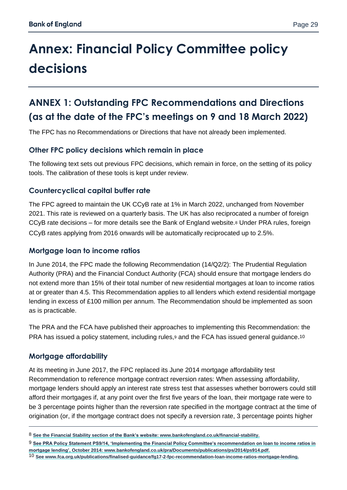# **Annex: Financial Policy Committee policy decisions**

## **ANNEX 1: Outstanding FPC Recommendations and Directions (as at the date of the FPC's meetings on 9 and 18 March 2022)**

The FPC has no Recommendations or Directions that have not already been implemented.

#### **Other FPC policy decisions which remain in place**

The following text sets out previous FPC decisions, which remain in force, on the setting of its policy tools. The calibration of these tools is kept under review.

#### **Countercyclical capital buffer rate**

The FPC agreed to maintain the UK CCyB rate at 1% in March 2022, unchanged from November 2021. This rate is reviewed on a quarterly basis. The UK has also reciprocated a number of foreign CCyB rate decisions – for more details see the Bank of England website.<sup>8</sup> Under PRA rules, foreign CCyB rates applying from 2016 onwards will be automatically reciprocated up to 2.5%.

#### **Mortgage loan to income ratios**

In June 2014, the FPC made the following Recommendation (14/Q2/2): The Prudential Regulation Authority (PRA) and the Financial Conduct Authority (FCA) should ensure that mortgage lenders do not extend more than 15% of their total number of new residential mortgages at loan to income ratios at or greater than 4.5. This Recommendation applies to all lenders which extend residential mortgage lending in excess of £100 million per annum. The Recommendation should be implemented as soon as is practicable.

The PRA and the FCA have published their approaches to implementing this Recommendation: the PRA has issued a policy statement, including rules,<sup>9</sup> and the FCA has issued general guidance.<sup>10</sup>

#### **Mortgage affordability**

 $\overline{a}$ 

At its meeting in June 2017, the FPC replaced its June 2014 mortgage affordability test Recommendation to reference mortgage contract reversion rates: When assessing affordability, mortgage lenders should apply an interest rate stress test that assesses whether borrowers could still afford their mortgages if, at any point over the first five years of the loan, their mortgage rate were to be 3 percentage points higher than the reversion rate specified in the mortgage contract at the time of origination (or, if the mortgage contract does not specify a reversion rate, 3 percentage points higher

<sup>8</sup> **See th[e Financial Stability section](https://www.bankofengland.co.uk/financial-stability) of the Bank's website[: www.bankofengland.co.uk/financial-stability.](file://///secretarys/Files/Publications%20and%20Design%20Team/CURRENT%20PUBLICATIONS/NEW%20VIS%202021/VIS%20Word%20for%20PDF%20templates/FPC%20Record/www.bankofengland.co.uk/financial-stability)**

<sup>9</sup> **See PRA Policy Statement PS9/14, ['Implementing the Financial Policy Committee's recommendation on loan to income ratios in](http://www.bankofengland.co.uk/pra/Documents/publications/ps/2014/ps914.pdf)  [mortgage lending',](http://www.bankofengland.co.uk/pra/Documents/publications/ps/2014/ps914.pdf) October 2014: [www.bankofengland.co.uk/pra/Documents/publications/ps/2014/ps914.pdf.](http://www.bankofengland.co.uk/pra/Documents/publications/ps/2014/ps914.pdf)**

<sup>10</sup> **Se[e www.fca.org.uk/publications/finalised-guidance/fg17-2-fpc-recommendation-loan-income-ratios-mortgage-lending.](file://///secretarys/Files/Publications%20and%20Design%20Team/CURRENT%20PUBLICATIONS/NEW%20VIS%202021/VIS%20Word%20for%20PDF%20templates/FPC%20Record/www.fca.org.uk/publications/finalised-guidance/fg17-2-fpc-recommendation-loan-income-ratios-mortgage-lending)**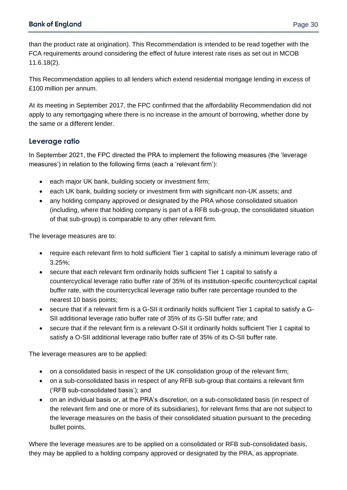than the product rate at origination). This Recommendation is intended to be read together with the FCA requirements around considering the effect of future interest rate rises as set out in MCOB 11.6.18(2).

This Recommendation applies to all lenders which extend residential mortgage lending in excess of £100 million per annum.

At its meeting in September 2017, the FPC confirmed that the affordability Recommendation did not apply to any remortgaging where there is no increase in the amount of borrowing, whether done by the same or a different lender.

#### **Leverage ratio**

In September 2021, the FPC directed the PRA to implement the following measures (the 'leverage measures') in relation to the following firms (each a 'relevant firm'):

- each major UK bank, building society or investment firm;
- each UK bank, building society or investment firm with significant non-UK assets; and
- any holding company approved or designated by the PRA whose consolidated situation (including, where that holding company is part of a RFB sub-group, the consolidated situation of that sub-group) is comparable to any other relevant firm.

The leverage measures are to:

- require each relevant firm to hold sufficient Tier 1 capital to satisfy a minimum leverage ratio of 3.25%;
- secure that each relevant firm ordinarily holds sufficient Tier 1 capital to satisfy a countercyclical leverage ratio buffer rate of 35% of its institution-specific countercyclical capital buffer rate, with the countercyclical leverage ratio buffer rate percentage rounded to the nearest 10 basis points;
- secure that if a relevant firm is a G-SII it ordinarily holds sufficient Tier 1 capital to satisfy a G-SII additional leverage ratio buffer rate of 35% of its G-SII buffer rate; and
- secure that if the relevant firm is a relevant O-SII it ordinarily holds sufficient Tier 1 capital to satisfy a O-SII additional leverage ratio buffer rate of 35% of its O-SII buffer rate.

The leverage measures are to be applied:

- on a consolidated basis in respect of the UK consolidation group of the relevant firm;
- on a sub-consolidated basis in respect of any RFB sub-group that contains a relevant firm ('RFB sub-consolidated basis'); and
- on an individual basis or, at the PRA's discretion, on a sub-consolidated basis (in respect of the relevant firm and one or more of its subsidiaries), for relevant firms that are not subject to the leverage measures on the basis of their consolidated situation pursuant to the preceding bullet points.

Where the leverage measures are to be applied on a consolidated or RFB sub-consolidated basis, they may be applied to a holding company approved or designated by the PRA, as appropriate.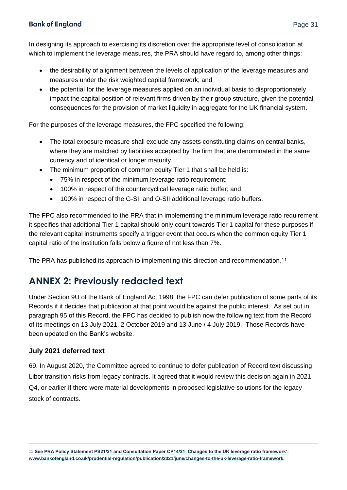In designing its approach to exercising its discretion over the appropriate level of consolidation at which to implement the leverage measures, the PRA should have regard to, among other things:

- the desirability of alignment between the levels of application of the leverage measures and measures under the risk weighted capital framework; and
- the potential for the leverage measures applied on an individual basis to disproportionately impact the capital position of relevant firms driven by their group structure, given the potential consequences for the provision of market liquidity in aggregate for the UK financial system.

For the purposes of the leverage measures, the FPC specified the following:

- The total exposure measure shall exclude any assets constituting claims on central banks, where they are matched by liabilities accepted by the firm that are denominated in the same currency and of identical or longer maturity.
- The minimum proportion of common equity Tier 1 that shall be held is:
	- 75% in respect of the minimum leverage ratio requirement;
	- 100% in respect of the countercyclical leverage ratio buffer; and
	- 100% in respect of the G-SII and O-SII additional leverage ratio buffers.

The FPC also recommended to the PRA that in implementing the minimum leverage ratio requirement it specifies that additional Tier 1 capital should only count towards Tier 1 capital for these purposes if the relevant capital instruments specify a trigger event that occurs when the common equity Tier 1 capital ratio of the institution falls below a figure of not less than 7%.

The PRA has published its approach to implementing this direction and recommendation.<sup>11</sup>

## **ANNEX 2: Previously redacted text**

Under Section 9U of the Bank of England Act 1998, the FPC can defer publication of some parts of its Records if it decides that publication at that point would be against the public interest. As set out in paragraph 95 of this Record, the FPC has decided to publish now the following text from the Record of its meetings on 13 July 2021, 2 October 2019 and 13 June / 4 July 2019. Those Records have been updated on the Bank's website.

#### **July 2021 deferred text**

 $\overline{a}$ 

69. In August 2020, the Committee agreed to continue to defer publication of Record text discussing Libor transition risks from legacy contracts. It agreed that it would review this decision again in 2021 Q4, or earlier if there were material developments in proposed legislative solutions for the legacy stock of contracts.

11 **See PRA Policy Statement PS21/21 and Consultation Paper CP14/21 'Changes to the UK leverage ratio framework': [www.bankofengland.co.uk/prudential-regulation/publication/2021/june/changes-to-the-uk-leverage-ratio-framework.](http://www.bankofengland.co.uk/prudential-regulation/publication/2021/june/changes-to-the-uk-leverage-ratio-framework)**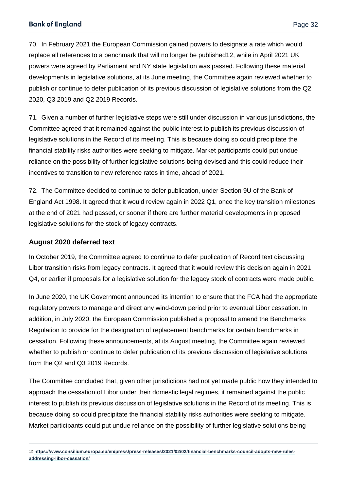70. In February 2021 the European Commission gained powers to designate a rate which would replace all references to a benchmark that will no longer be published12, while in April 2021 UK powers were agreed by Parliament and NY state legislation was passed. Following these material developments in legislative solutions, at its June meeting, the Committee again reviewed whether to publish or continue to defer publication of its previous discussion of legislative solutions from the Q2 2020, Q3 2019 and Q2 2019 Records.

71. Given a number of further legislative steps were still under discussion in various jurisdictions, the Committee agreed that it remained against the public interest to publish its previous discussion of legislative solutions in the Record of its meeting. This is because doing so could precipitate the financial stability risks authorities were seeking to mitigate. Market participants could put undue reliance on the possibility of further legislative solutions being devised and this could reduce their incentives to transition to new reference rates in time, ahead of 2021.

72. The Committee decided to continue to defer publication, under Section 9U of the Bank of England Act 1998. It agreed that it would review again in 2022 Q1, once the key transition milestones at the end of 2021 had passed, or sooner if there are further material developments in proposed legislative solutions for the stock of legacy contracts.

#### **August 2020 deferred text**

 $\overline{a}$ 

In October 2019, the Committee agreed to continue to defer publication of Record text discussing Libor transition risks from legacy contracts. It agreed that it would review this decision again in 2021 Q4, or earlier if proposals for a legislative solution for the legacy stock of contracts were made public.

In June 2020, the UK Government announced its intention to ensure that the FCA had the appropriate regulatory powers to manage and direct any wind-down period prior to eventual Libor cessation. In addition, in July 2020, the European Commission published a proposal to amend the Benchmarks Regulation to provide for the designation of replacement benchmarks for certain benchmarks in cessation. Following these announcements, at its August meeting, the Committee again reviewed whether to publish or continue to defer publication of its previous discussion of legislative solutions from the Q2 and Q3 2019 Records.

The Committee concluded that, given other jurisdictions had not yet made public how they intended to approach the cessation of Libor under their domestic legal regimes, it remained against the public interest to publish its previous discussion of legislative solutions in the Record of its meeting. This is because doing so could precipitate the financial stability risks authorities were seeking to mitigate. Market participants could put undue reliance on the possibility of further legislative solutions being

<sup>12</sup> **https://www.consilium.europa.eu/en/press/press-releases/2021/02/02/financial-benchmarks-council-adopts-new-rulesaddressing-libor-cessation/**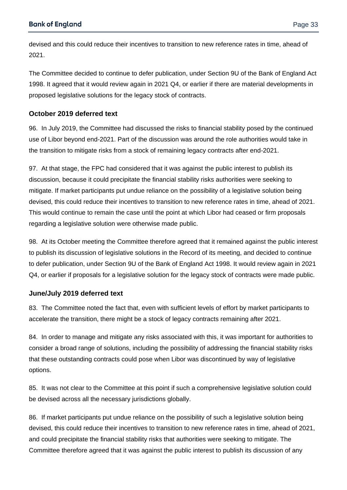devised and this could reduce their incentives to transition to new reference rates in time, ahead of 2021.

The Committee decided to continue to defer publication, under Section 9U of the Bank of England Act 1998. It agreed that it would review again in 2021 Q4, or earlier if there are material developments in proposed legislative solutions for the legacy stock of contracts.

#### **October 2019 deferred text**

96. In July 2019, the Committee had discussed the risks to financial stability posed by the continued use of Libor beyond end-2021. Part of the discussion was around the role authorities would take in the transition to mitigate risks from a stock of remaining legacy contracts after end-2021.

97. At that stage, the FPC had considered that it was against the public interest to publish its discussion, because it could precipitate the financial stability risks authorities were seeking to mitigate. If market participants put undue reliance on the possibility of a legislative solution being devised, this could reduce their incentives to transition to new reference rates in time, ahead of 2021. This would continue to remain the case until the point at which Libor had ceased or firm proposals regarding a legislative solution were otherwise made public.

98. At its October meeting the Committee therefore agreed that it remained against the public interest to publish its discussion of legislative solutions in the Record of its meeting, and decided to continue to defer publication, under Section 9U of the Bank of England Act 1998. It would review again in 2021 Q4, or earlier if proposals for a legislative solution for the legacy stock of contracts were made public.

#### **June/July 2019 deferred text**

83. The Committee noted the fact that, even with sufficient levels of effort by market participants to accelerate the transition, there might be a stock of legacy contracts remaining after 2021.

84. In order to manage and mitigate any risks associated with this, it was important for authorities to consider a broad range of solutions, including the possibility of addressing the financial stability risks that these outstanding contracts could pose when Libor was discontinued by way of legislative options.

85. It was not clear to the Committee at this point if such a comprehensive legislative solution could be devised across all the necessary jurisdictions globally.

86. If market participants put undue reliance on the possibility of such a legislative solution being devised, this could reduce their incentives to transition to new reference rates in time, ahead of 2021, and could precipitate the financial stability risks that authorities were seeking to mitigate. The Committee therefore agreed that it was against the public interest to publish its discussion of any